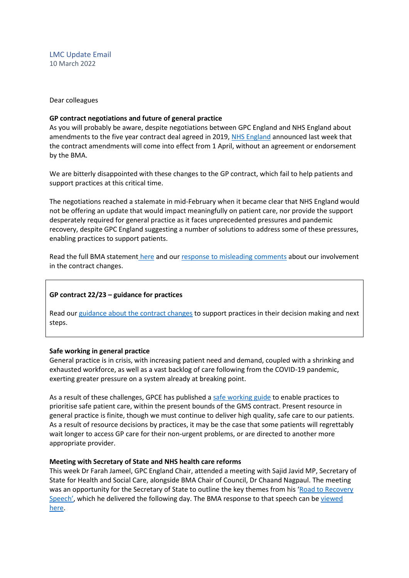LMC Update Email 10 March 2022

Dear colleagues

## **GP contract negotiations and future of general practice**

As you will probably be aware, despite negotiations between GPC England and NHS England about amendments to the five year contract deal agreed in 2019, [NHS England](https://www.england.nhs.uk/publication/letter-general-practice-contract-arrangements-in-2022-23/) announced last week that the contract amendments will come into effect from 1 April, without an agreement or endorsement by the BMA.

We are bitterly disappointed with these changes to the GP contract, which fail to help patients and support practices at this critical time.

The negotiations reached a stalemate in mid-February when it became clear that NHS England would not be offering an update that would impact meaningfully on patient care, nor provide the support desperately required for general practice as it faces unprecedented pressures and pandemic recovery, despite GPC England suggesting a number of solutions to address some of these pressures, enabling practices to support patients.

Read the full BMA statement [here](https://www.bma.org.uk/bma-media-centre/bma-bitterly-disappointed-at-gp-contract-changes-for-england-announced-with-no-agreement) and our [response to misleading comments](https://www.bma.org.uk/bma-media-centre/bma-gpc-responds-to-misleading-comments-about-its-involvement-in-the-22-23-gp-contract) about our involvement in the contract changes.

# **GP contract 22/23 – guidance for practices**

Read our [guidance about the contract changes](https://www.bma.org.uk/pay-and-contracts/contracts/gp-contract/gp-contract-changes-england-202223) to support practices in their decision making and next steps.

# **Safe working in general practice**

General practice is in crisis, with increasing patient need and demand, coupled with a shrinking and exhausted workforce, as well as a vast backlog of care following from the COVID-19 pandemic, exerting greater pressure on a system already at breaking point.

As a result of these challenges, GPCE has published a [safe working guide](https://www.bma.org.uk/advice-and-support/gp-practices/managing-workload/safe-working-in-general-practice) to enable practices to prioritise safe patient care, within the present bounds of the GMS contract. Present resource in general practice is finite, though we must continue to deliver high quality, safe care to our patients. As a result of resource decisions by practices, it may be the case that some patients will regrettably wait longer to access GP care for their non-urgent problems, or are directed to another more appropriate provider.

# **Meeting with Secretary of State and NHS health care reforms**

This week Dr Farah Jameel, GPC England Chair, attended a meeting with Sajid Javid MP, Secretary of State for Health and Social Care, alongside BMA Chair of Council, Dr Chaand Nagpaul. The meeting was an opportunity for the Secretary of State to outline the key themes from his 'Road to Recovery [Speech'](https://www.gov.uk/government/speeches/health-and-social-care-secretary-speech-on-health-reform), which he delivered the following day. The BMA response to that speech can be viewed [here.](https://www.bma.org.uk/bma-media-centre/nhs-recovery-plan-will-prove-impossible-if-chronic-workforce-crisis-isn-t-addressed-says-bma)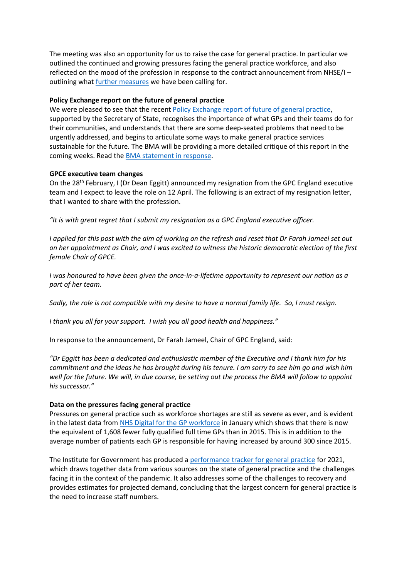The meeting was also an opportunity for us to raise the case for general practice. In particular we outlined the continued and growing pressures facing the general practice workforce, and also reflected on the mood of the profession in response to the contract announcement from NHSE/I – outlining what [further measures](https://www.bma.org.uk/bma-media-centre/bma-bitterly-disappointed-at-gp-contract-changes-for-england-announced-with-no-agreement) we have been calling for.

## **Policy Exchange report on the future of general practice**

We were pleased to see that the recen[t Policy Exchange report of future of general practice,](https://policyexchange.org.uk/publication/at-your-service/) supported by the Secretary of State, recognises the importance of what GPs and their teams do for their communities, and understands that there are some deep-seated problems that need to be urgently addressed, and begins to articulate some ways to make general practice services sustainable for the future. The BMA will be providing a more detailed critique of this report in the coming weeks. Read the [BMA statement in response.](https://www.bma.org.uk/bma-media-centre/we-can-t-begin-to-build-a-better-general-practice-if-we-don-t-learn-from-what-s-come-before-says-bma)

#### **GPCE executive team changes**

On the 28<sup>th</sup> February, I (Dr Dean Eggitt) announced my resignation from the GPC England executive team and I expect to leave the role on 12 April. The following is an extract of my resignation letter, that I wanted to share with the profession.

*"It is with great regret that I submit my resignation as a GPC England executive officer.*

*I applied for this post with the aim of working on the refresh and reset that Dr Farah Jameel set out on her appointment as Chair, and I was excited to witness the historic democratic election of the first female Chair of GPCE.*

*I was honoured to have been given the once-in-a-lifetime opportunity to represent our nation as a part of her team.*

*Sadly, the role is not compatible with my desire to have a normal family life. So, I must resign.*

*I thank you all for your support. I wish you all good health and happiness."*

In response to the announcement, Dr Farah Jameel, Chair of GPC England, said:

*"Dr Eggitt has been a dedicated and enthusiastic member of the Executive and I thank him for his commitment and the ideas he has brought during his tenure. I am sorry to see him go and wish him well for the future. We will, in due course, be setting out the process the BMA will follow to appoint his successor."*

## **Data on the pressures facing general practice**

Pressures on general practice such as workforce shortages are still as severe as ever, and is evident in the latest data from [NHS Digital for the GP workforce](https://digital.nhs.uk/data-and-information/publications/statistical/general-and-personal-medical-services/31-january-2022) in January which shows that there is now the equivalent of 1,608 fewer fully qualified full time GPs than in 2015. This is in addition to the average number of patients each GP is responsible for having increased by around 300 since 2015.

The Institute for Government has produced [a performance tracker for general practice](https://www.instituteforgovernment.org.uk/publication/performance-tracker-2021/general-practice) for 2021, which draws together data from various sources on the state of general practice and the challenges facing it in the context of the pandemic. It also addresses some of the challenges to recovery and provides estimates for projected demand, concluding that the largest concern for general practice is the need to increase staff numbers.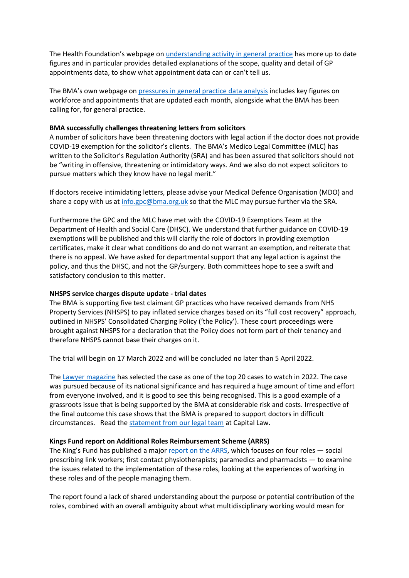The Health Foundation's webpage on [understanding activity in general practice](https://www.health.org.uk/news-and-comment/charts-and-infographics/understanding-activity-in-general-practice-what-can-the-data-tell-us) has more up to date figures and in particular provides detailed explanations of the scope, quality and detail of GP appointments data, to show what appointment data can or can't tell us.

The BMA's own webpage o[n pressures in general practice data analysis](https://www.bma.org.uk/advice-and-support/nhs-delivery-and-workforce/pressures/pressures-in-general-practice-data-analysis) includes key figures on workforce and appointments that are updated each month, alongside what the BMA has been calling for, for general practice.

## **BMA successfully challenges threatening letters from solicitors**

A number of solicitors have been threatening doctors with legal action if the doctor does not provide COVID-19 exemption for the solicitor's clients. The BMA's Medico Legal Committee (MLC) has written to the Solicitor's Regulation Authority (SRA) and has been assured that solicitors should not be "writing in offensive, threatening or intimidatory ways. And we also do not expect solicitors to pursue matters which they know have no legal merit."

If doctors receive intimidating letters, please advise your Medical Defence Organisation (MDO) and share a copy with us at  $info.gpc@bma.org.uk$  so that the MLC may pursue further via the SRA.

Furthermore the GPC and the MLC have met with the COVID-19 Exemptions Team at the Department of Health and Social Care (DHSC). We understand that further guidance on COVID-19 exemptions will be published and this will clarify the role of doctors in providing exemption certificates, make it clear what conditions do and do not warrant an exemption, and reiterate that there is no appeal. We have asked for departmental support that any legal action is against the policy, and thus the DHSC, and not the GP/surgery. Both committees hope to see a swift and satisfactory conclusion to this matter.

#### **NHSPS service charges dispute update - trial dates**

The BMA is supporting five test claimant GP practices who have received demands from NHS Property Services (NHSPS) to pay inflated service charges based on its "full cost recovery" approach, outlined in NHSPS' Consolidated Charging Policy ('the Policy'). These court proceedings were brought against NHSPS for a declaration that the Policy does not form part of their tenancy and therefore NHSPS cannot base their charges on it.

The trial will begin on 17 March 2022 and will be concluded no later than 5 April 2022.

The [Lawyer magazine](https://www.thelawyer.com/top-20-cases-2022/) has selected the case as one of the top 20 cases to watch in 2022. The case was pursued because of its national significance and has required a huge amount of time and effort from everyone involved, and it is good to see this being recognised. This is a good example of a grassroots issue that is being supported by the BMA at considerable risk and costs. Irrespective of the final outcome this case shows that the BMA is prepared to support doctors in difficult circumstances. Read the [statement from our legal team](https://protect-eu.mimecast.com/s/a8PLCmy55Fj4YOgTGbM1S?domain=capitallaw.co.uk/) at Capital Law.

#### **Kings Fund report on Additional Roles Reimbursement Scheme (ARRS)**

The King's Fund has published a major [report on the ARRS,](https://protect-eu.mimecast.com/s/4cOUC0LKKHGPqEYhweEXG?domain=kingsfund.org.uk) which focuses on four roles — social prescribing link workers; first contact physiotherapists; paramedics and pharmacists — to examine the issues related to the implementation of these roles, looking at the experiences of working in these roles and of the people managing them.

The report found a lack of shared understanding about the purpose or potential contribution of the roles, combined with an overall ambiguity about what multidisciplinary working would mean for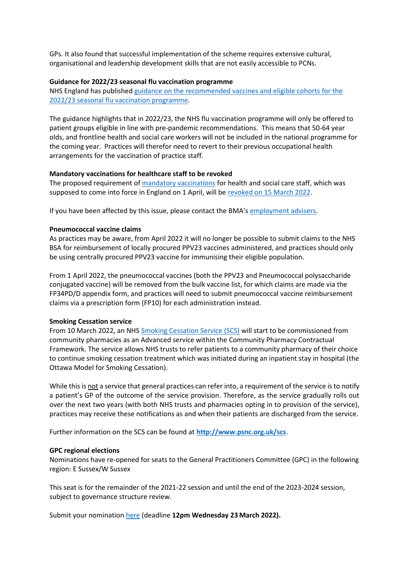GPs. It also found that successful implementation of the scheme requires extensive cultural, organisational and leadership development skills that are not easily accessible to PCNs.

## **Guidance for 2022/23 seasonal flu vaccination programme**

NHS England has publishe[d guidance on the recommended vaccines and eligible cohorts for the](https://www.england.nhs.uk/wp-content/uploads/2019/12/B1395-reimbursable-vaccines-and-eligible-cohorts-22-23-flu-vaccination-programme-guidance-march-2022.pdf)  [2022/23 seasonal flu vaccination programme.](https://www.england.nhs.uk/wp-content/uploads/2019/12/B1395-reimbursable-vaccines-and-eligible-cohorts-22-23-flu-vaccination-programme-guidance-march-2022.pdf)

The guidance highlights that in 2022/23, the NHS flu vaccination programme will only be offered to patient groups eligible in line with pre-pandemic recommendations. This means that 50-64 year olds, and frontline health and social care workers will not be included in the national programme for the coming year. Practices will therefor need to revert to their previous occupational health arrangements for the vaccination of practice staff.

## **Mandatory vaccinations for healthcare staff to be revoked**

The proposed requirement o[f mandatory vaccinations](https://www.bma.org.uk/advice-and-support/covid-19/vaccines/covid-19-mandatory-vaccinations-for-staff-in-gp-practices) for health and social care staff, which was supposed to come into force in England on 1 April, will b[e revoked on 15 March 2022.](https://www.gov.uk/government/consultations/revoking-vaccination-as-a-condition-of-deployment-across-all-health-and-social-care/outcome/revoking-vaccination-as-a-condition-of-deployment-across-all-health-and-social-care-consultation-response)

If you have been affected by this issue, please contact the BMA's [employment advisers.](https://www.bma.org.uk/about-us/contact-us/get-in-touch/contact-us)

## **Pneumococcal vaccine claims**

As practices may be aware, from April 2022 it will no longer be possible to submit claims to the NHS BSA for reimbursement of locally procured PPV23 vaccines administered, and practices should only be using centrally procured PPV23 vaccine for immunising their eligible population.

From 1 April 2022, the pneumococcal vaccines (both the PPV23 and Pneumococcal polysaccharide conjugated vaccine) will be removed from the bulk vaccine list, for which claims are made via the FP34PD/D appendix form, and practices will need to submit pneumococcal vaccine reimbursement claims via a prescription form (FP10) for each administration instead.

#### **Smoking Cessation service**

From 10 March 2022, an NH[S Smoking Cessation Service \(SCS\)](https://psnc.org.uk/services-commissioning/advanced-services/smoking-cessation-service/) will start to be commissioned from community pharmacies as an Advanced service within the Community Pharmacy Contractual Framework. The service allows NHS trusts to refer patients to a community pharmacy of their choice to continue smoking cessation treatment which was initiated during an inpatient stay in hospital (the Ottawa Model for Smoking Cessation).

While this is not a service that general practices can refer into, a requirement of the service is to notify a patient's GP of the outcome of the service provision. Therefore, as the service gradually rolls out over the next two years (with both NHS trusts and pharmacies opting in to provision of the service), practices may receive these notifications as and when their patients are discharged from the service.

Further information on the SCS can be found at **[http://www.psnc.org.uk/scs](https://protect-eu.mimecast.com/s/VKn3CqZ11C8wArjCQagXs?domain=nam12.safelinks.protection.outlook.com)**.

#### **GPC regional elections**

Nominations have re-opened for seats to the General Practitioners Committee (GPC) in the following region: E Sussex/W Sussex

This seat is for the remainder of the 2021-22 session and until the end of the 2023-2024 session, subject to governance structure review.

Submit your nomination [here](https://protect-eu.mimecast.com/s/eHoKCnO11hlJjyf2kXSW?domain=elections.bma.org.uk) (deadline **12pm Wednesday 23 March 2022).**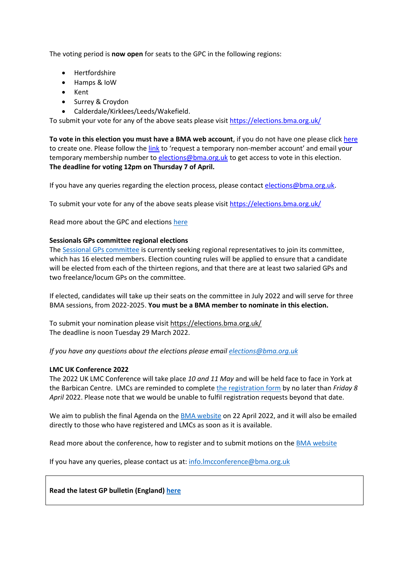The voting period is **now open** for seats to the GPC in the following regions:

- **Hertfordshire**
- Hamps & IoW
- Kent
- Surrey & Croydon
- Calderdale/Kirklees/Leeds/Wakefield.

To submit your vote for any of the above seats please visi[t https://elections.bma.org.uk/](https://protect-eu.mimecast.com/s/eHoKCnO11hlJjyf2kXSW?domain=elections.bma.org.uk)

**To vote in this election you must have a BMA web account**, if you do not have one please click [here](https://www.bma.org.uk/what-we-do/committees/committee-information/committee-elections) to create one. Please follow the [link](https://join.bma.org.uk/limitedaccessregistration/limitedaccess) to 'request a temporary non-member account' and email your temporary membership number to [elections@bma.org.uk](mailto:elections@bma.org.uk) to get access to vote in this election. **The deadline for voting 12pm on Thursday 7 of April.** 

If you have any queries regarding the election process, please contac[t elections@bma.org.uk.](mailto:elections@bma.org.uk)

To submit your vote for any of the above seats please visi[t https://elections.bma.org.uk/](https://protect-eu.mimecast.com/s/eHoKCnO11hlJjyf2kXSW?domain=elections.bma.org.uk)

Read more about the GPC and election[s here](https://www.bma.org.uk/what-we-do/committees/general-practitioners-committee/general-practitioners-committee-uk-overview)

# **Sessionals GPs committee regional elections**

The [Sessional GPs committee](https://www.bma.org.uk/what-we-do/committees/general-practitioners-committee/sessional-gps-committee) is currently seeking regional representatives to join its committee, which has 16 elected members. Election counting rules will be applied to ensure that a candidate will be elected from each of the thirteen regions, and that there are at least two salaried GPs and two freelance/locum GPs on the committee.

If elected, candidates will take up their seats on the committee in July 2022 and will serve for three BMA sessions, from 2022-2025. **You must be a BMA member to nominate in this election.**

To submit your nomination please visit [https://elections.bma.org.uk/](https://protect-eu.mimecast.com/s/eHoKCnO11hlJjyf2kXSW?domain=elections.bma.org.uk) The deadline is noon Tuesday 29 March 2022.

*If you have any questions about the elections please email [elections@bma.org.uk](mailto:elections@bma.org.uk)*

# **LMC UK Conference 2022**

The 2022 UK LMC Conference will take place *10 and 11 May* and will be held face to face in York at the Barbican Centre. LMCs are reminded to complete [the registration form](https://events.bma.org.uk/uk-conference-of-lmcs-2022/registration/Site/Register) by no later than *Friday 8 April* 2022. Please note that we would be unable to fulfil registration requests beyond that date.

We aim to publish the final Agenda on the [BMA website](https://www.bma.org.uk/what-we-do/local-medical-committees) on 22 April 2022, and it will also be emailed directly to those who have registered and LMCs as soon as it is available.

Read more about the conference, how to register and to submit motions on the [BMA website](https://www.bma.org.uk/what-we-do/local-medical-committees)

If you have any queries, please contact us at: [info.lmcconference@bma.org.uk](mailto:info.lmcconference@bma.org.uk)

**Read the latest GP bulletin (England) [here](https://bma-mail.org.uk/t/JVX-7RSY2-EC5E0CEA0D8A5317JCJOU4BA186991484320BE/cr.aspx)**